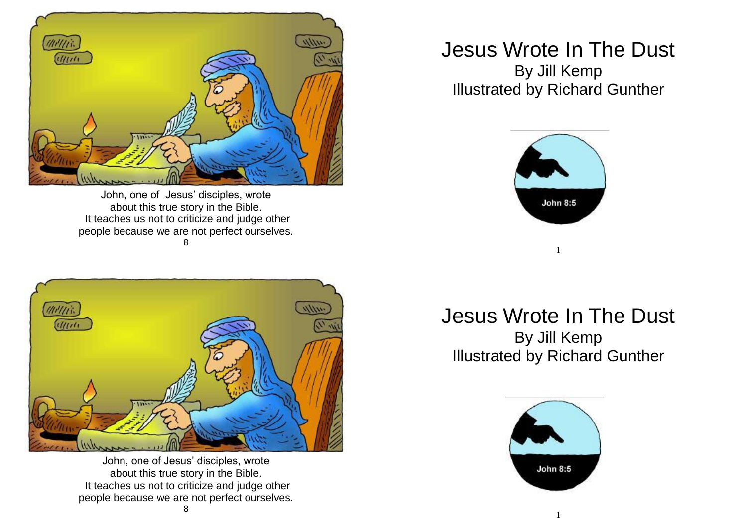

John, one of Jesus' disciples, wrote about this true story in the Bible. It teaches us not to criticize and judge other people because we are not perfect ourselves. 8

## (milli)  $(1)$

John, one of Jesus' disciples, wrote about this true story in the Bible. It teaches us not to criticize and judge other people because we are not perfect ourselves.

## Jesus Wrote In The Dust By Jill Kemp Illustrated by Richard Gunther



## Jesus Wrote In The Dust By Jill Kemp Illustrated by Richard Gunther

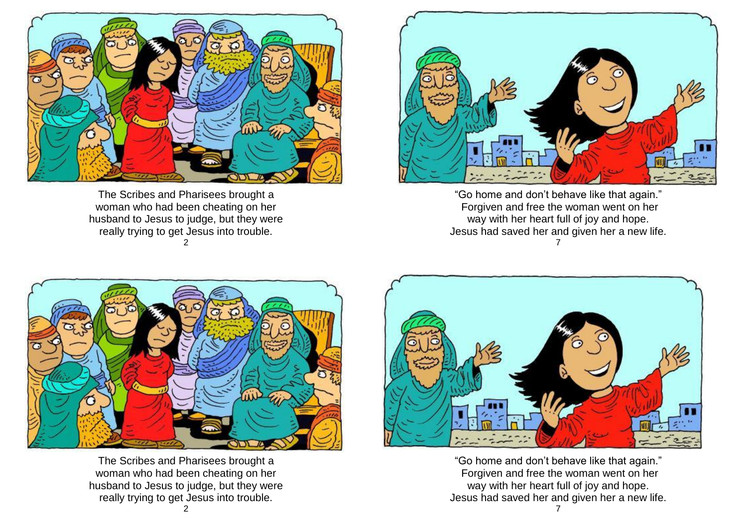

The Scribes and Pharisees brought a woman who had been cheating on her husband to Jesus to judge, but they were really trying to get Jesus into trouble. 2



"Go home and don't behave like that again." Forgiven and free the woman went on her way with her heart full of joy and hope. Jesus had saved her and given her a new life. 7



The Scribes and Pharisees brought a woman who had been cheating on her husband to Jesus to judge, but they were really trying to get Jesus into trouble.



"Go home and don't behave like that again." Forgiven and free the woman went on her way with her heart full of joy and hope. Jesus had saved her and given her a new life.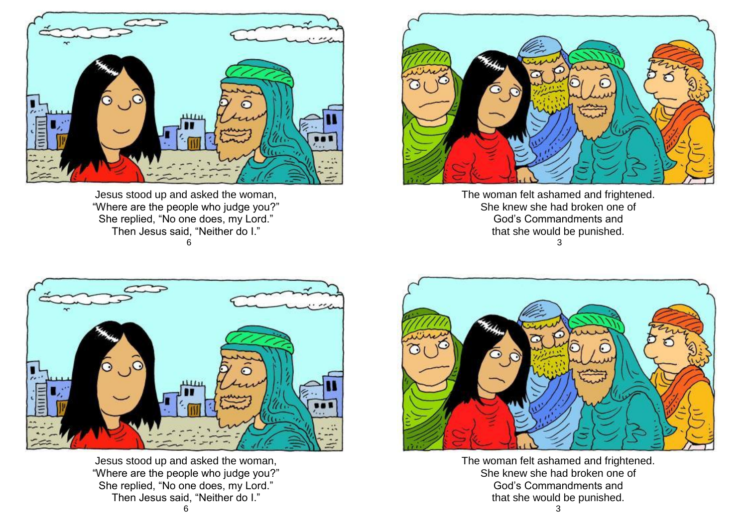

Jesus stood up and asked the woman, "Where are the people who judge you?" She replied, "No one does, my Lord." Then Jesus said, "Neither do I." 6



The woman felt ashamed and frightened. She knew she had broken one of God's Commandments and that she would be punished. 3



Jesus stood up and asked the woman, "Where are the people who judge you?" She replied, "No one does, my Lord." Then Jesus said, "Neither do I."



The woman felt ashamed and frightened. She knew she had broken one of God's Commandments and that she would be punished.